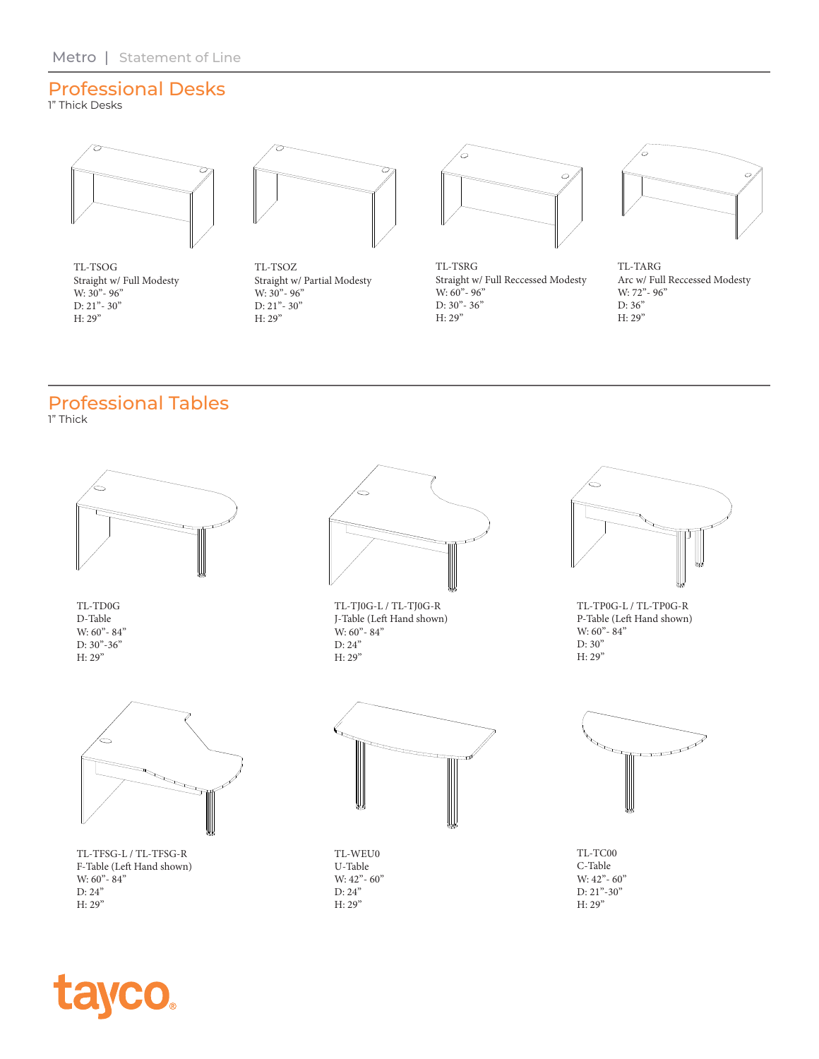### Professional Desks

1" Thick Desks



TL-TSOG Straight w/ Full Modesty W:  $30^{\degree}$ - 96" D: 21"- 30" H: 29"



TL-TSOZ Straight w/ Partial Modesty W:  $30 - 96$ " D: 21"- 30" H: 29"



TL-TSRG Straight w/ Full Reccessed Modesty W: 60" - 96" D:  $30 - 36$ H: 29"



TL-TARG Arc w/ Full Reccessed Modesty W: 72"- 96" D: 36" H: 29"

#### Professional Tables 1" Thick



TL-TD0G D-Table W: 60" - 84"  $D: 30" - 36"$ H: 29"



TL-TFSG-L / TL-TFSG-R F-Table (Left Hand shown) W:  $60^{\degree}$ -  $84^{\degree}$ D: 24" H: 29"

**tayco.** 



TL-TJ0G-L / TL-TJ0G-R J-Table (Left Hand shown) W: 60" - 84" D: 24" H: 29"



TL-TP0G-L / TL-TP0G-R P-Table (Left Hand shown) W: 60" - 84" D: 30" H: 29"



TL-WEU0 U-Table W: 42" - 60" D: 24" H: 29"



TL-TC00 C-Table W: 42" - 60" D: 21"-30" H: 29"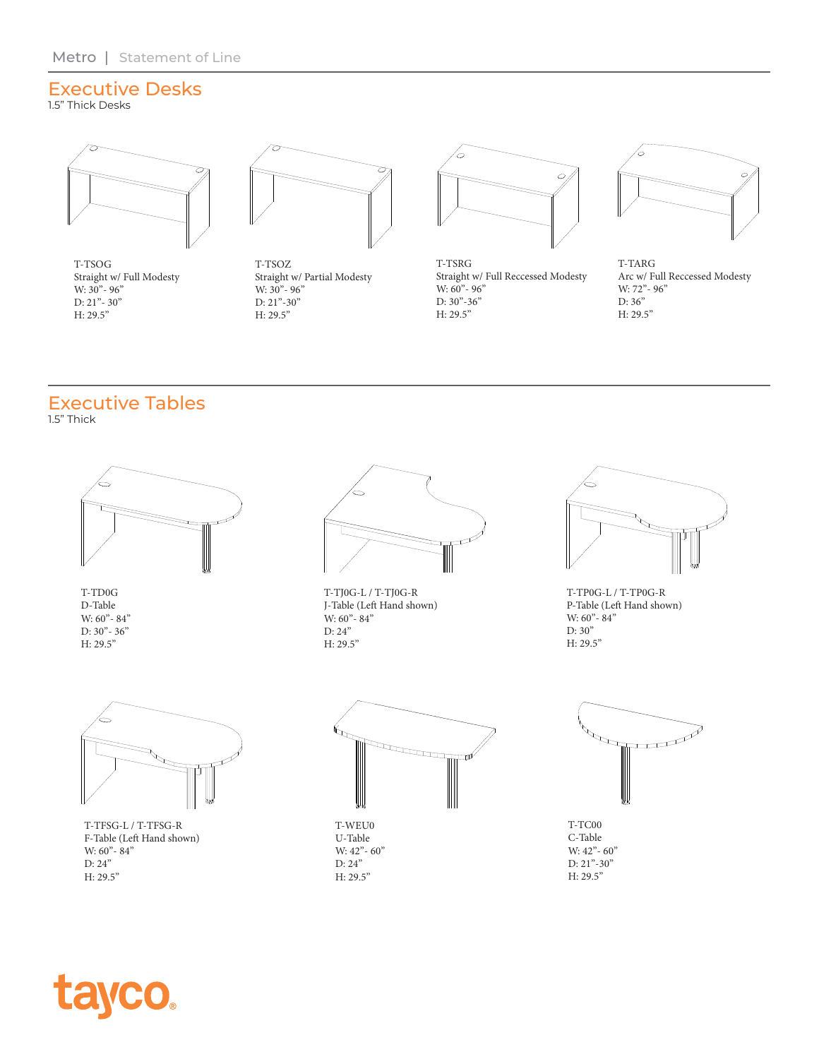## Executive Desks

1.5" Thick Desks



T-TSOG Straight w/ Full Modesty W:  $30 - 96$ "  $D: 21" - 30"$ H: 29.5"



T-TSOZ Straight w/ Partial Modesty W:  $30 - 96$ " D:  $21" - 30"$ H: 29.5"



T-TSRG Straight w/ Full Reccessed Modesty W:  $60 - 96$ " D: 30"-36" H: 29.5"



T-TARG Arc w/ Full Reccessed Modesty W: 72" - 96" D: 36" H: 29.5"

# Executive Tables

1.5" Thick



T-TD0G D-Table W:  $60 - 84$ " D: 30"- 36" H: 29.5"



T-TFSG-L / T-TFSG-R F-Table (Left Hand shown) W:  $60^{\degree}$ - 84" D: 24" H: 29.5"



T-TJ0G-L / T-TJ0G-R J-Table (Left Hand shown) W:  $60 - 84$ " D: 24" H: 29.5"



T-TP0G-L / T-TP0G-R P-Table (Left Hand shown) W:  $60 - 84$ " D: 30" H: 29.5"



T-WEU0 U-Table W:  $42^{\degree}$ - 60" D: 24" H: 29.5"



T-TC00 C-Table W: 42" - 60" D: 21"-30" H: 29.5"

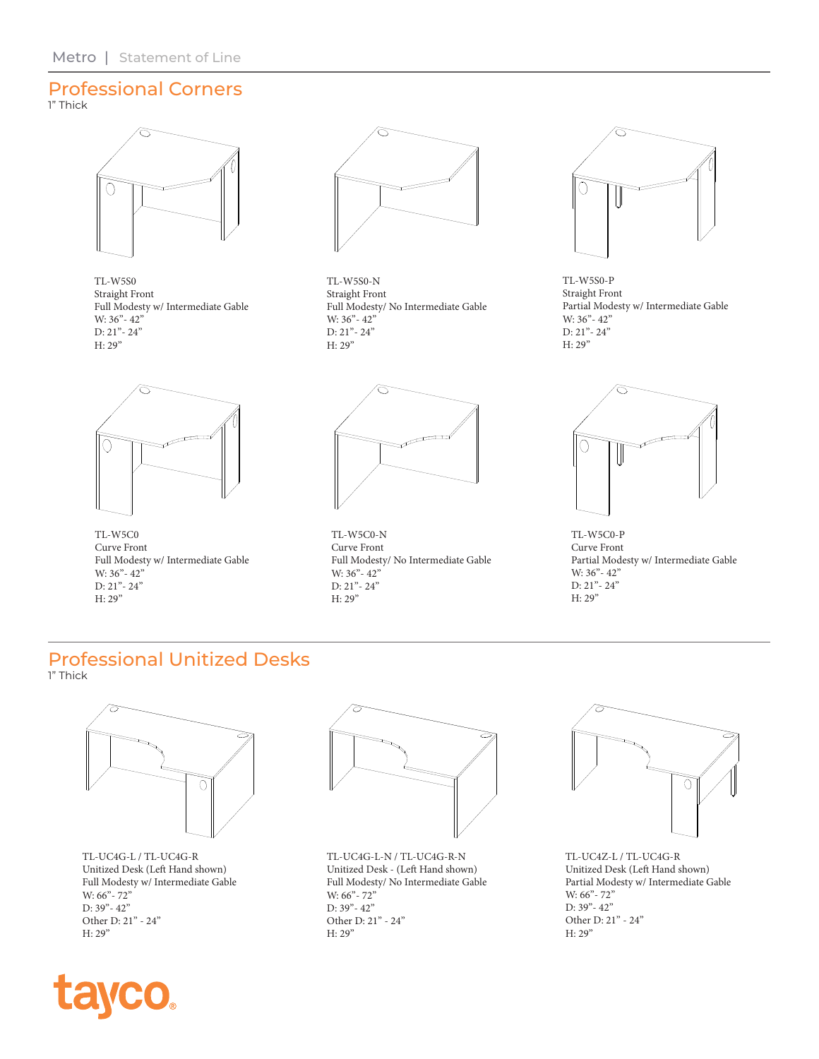#### Professional Corners 1" Thick



TL-W5S0 Straight Front Full Modesty w/ Intermediate Gable W: 36" - 42" D: 21"- 24" H: 29"



TL-W5S0-N Straight Front Full Modesty/ No Intermediate Gable W: 36" - 42" D: 21"- 24" H: 29"



TL-W5S0-P Straight Front Partial Modesty w/ Intermediate Gable W: 36"- 42" D: 21"- 24" H: 29"



TL-W5C0 Curve Front Full Modesty w/ Intermediate Gable W: 36"- 42" D: 21"- 24" H: 29"



TL-W5C0-N Curve Front Full Modesty/ No Intermediate Gable W: 36" - 42" D: 21"- 24" H: 29"



TL-W5C0-P Curve Front Partial Modesty w/ Intermediate Gable W: 36"- 42" D: 21"- 24" H: 29"

#### Professional Unitized Desks 1" Thick



TL-UC4G-L / TL-UC4G-R Unitized Desk (Left Hand shown) Full Modesty w/ Intermediate Gable W: 66" - 72" D: 39"- 42" Other D: 21" - 24" H: 29"



TL-UC4G-L-N / TL-UC4G-R-N Unitized Desk - (Left Hand shown) Full Modesty/ No Intermediate Gable W: 66" - 72" D: 39"- 42" Other D: 21" - 24" H: 29"



TL-UC4Z-L / TL-UC4G-R Unitized Desk (Left Hand shown) Partial Modesty w/ Intermediate Gable W: 66" - 72" D: 39"- 42" Other D: 21" - 24" H: 29"

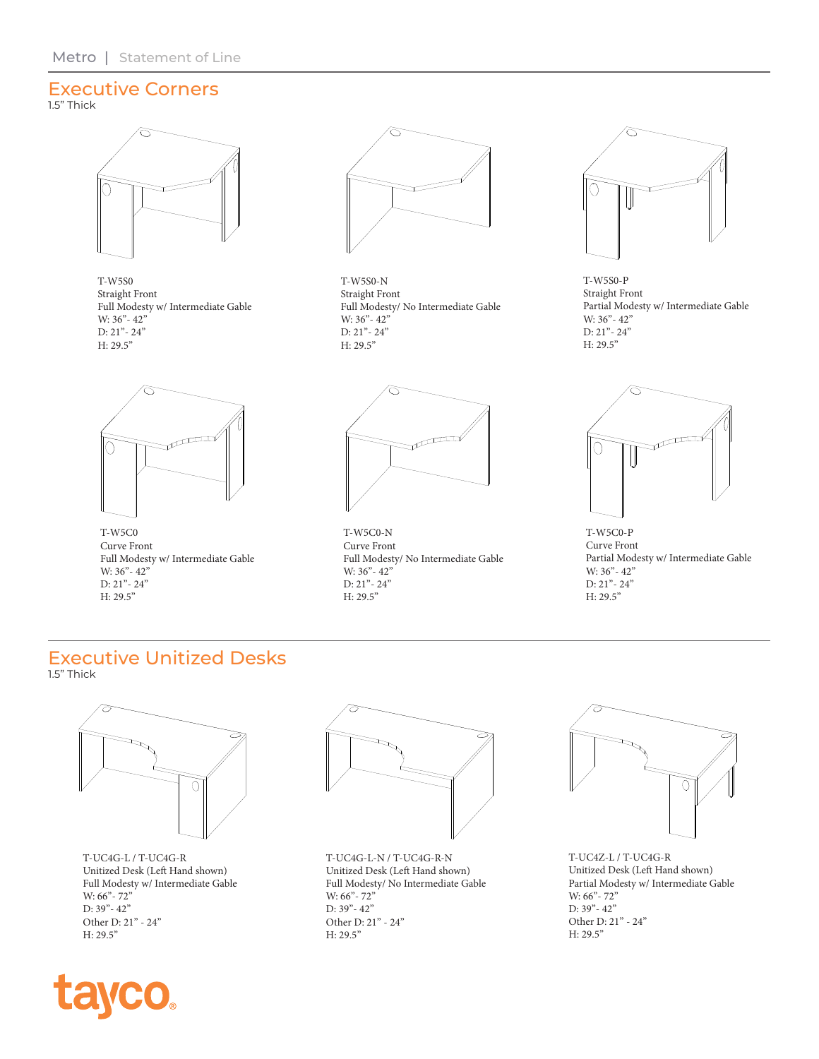#### Executive Corners 1.5" Thick



T-W5S0 Straight Front Full Modesty w/ Intermediate Gable W: 36" - 42" D: 21"- 24" H: 29.5"



T-W5S0-N Straight Front Full Modesty/ No Intermediate Gable W: 36" - 42" D: 21"- 24" H: 29.5"



T-W5S0-P Straight Front Partial Modesty w/ Intermediate Gable W: 36" - 42" D: 21"- 24" H: 29.5"



T-W5C0 Curve Front Full Modesty w/ Intermediate Gable W: 36" - 42" D:  $21 - 24$ " H: 29.5"



T-W5C0-N Curve Front Full Modesty/ No Intermediate Gable W: 36" - 42" D: 21"- 24" H: 29.5"



T-W5C0-P Curve Front Partial Modesty w/ Intermediate Gable W: 36" - 42" D: 21"- 24" H: 29.5"

#### Executive Unitized Desks 1.5" Thick



T-UC4G-L / T-UC4G-R Unitized Desk (Left Hand shown) Full Modesty w/ Intermediate Gable W: 66" - 72" D: 39"- 42" Other D: 21" - 24" H: 29.5"



T-UC4G-L-N / T-UC4G-R-N Unitized Desk (Left Hand shown) Full Modesty/ No Intermediate Gable W: 66" - 72" D: 39"- 42" Other D: 21" - 24" H: 29.5"



T-UC4Z-L / T-UC4G-R Unitized Desk (Left Hand shown) Partial Modesty w/ Intermediate Gable W: 66" - 72" D: 39"- 42" Other D: 21" - 24" H: 29.5"

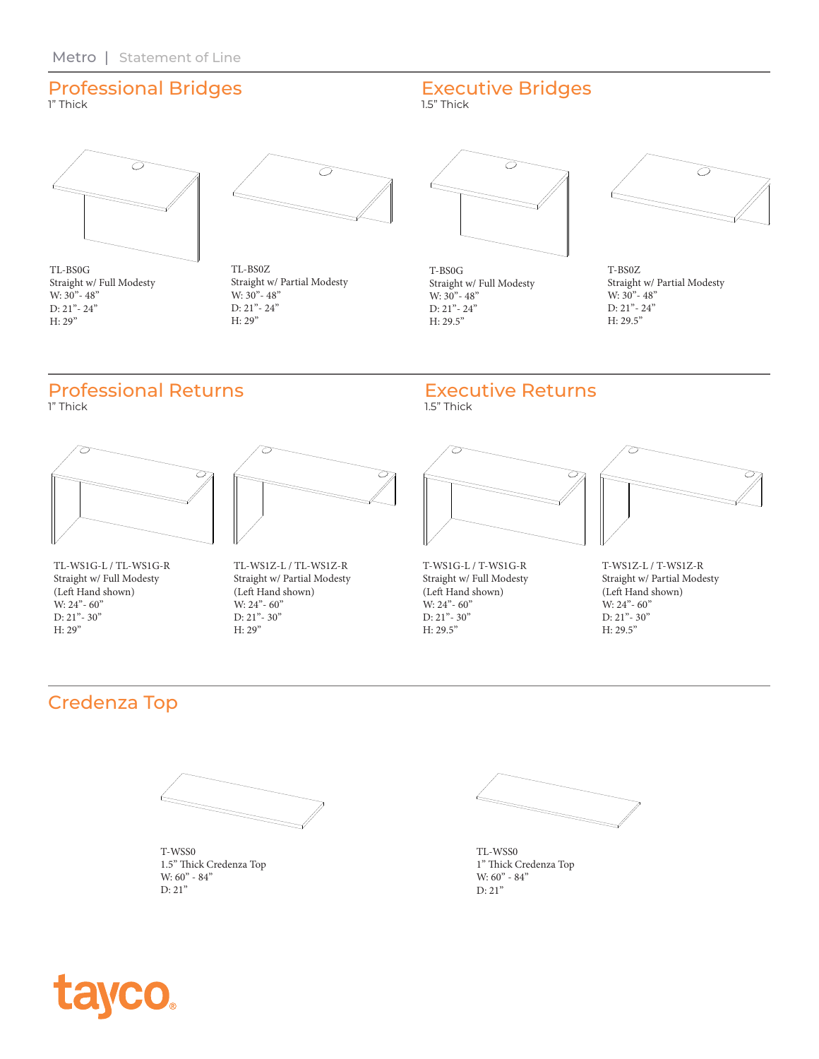## Professional Bridges

1" Thick



TL-BS0G Straight w/ Full Modesty W:  $30^{\degree}$  - 48" D: 21"- 24" H: 29"



TL-BS0Z Straight w/ Partial Modesty W:  $30^{\degree}$  -  $48^{\degree}$ D: 21"- 24" H: 29"

# Professional Returns

1" Thick



TL-WS1G-L / TL-WS1G-R Straight w/ Full Modesty (Left Hand shown) W: 24" - 60" D: 21"- 30" H: 29"



TL-WS1Z-L / TL-WS1Z-R Straight w/ Partial Modesty (Left Hand shown) W: 24" - 60" D: 21"- 30" H: 29"



Executive Bridges

T-BS0G Straight w/ Full Modesty W:  $30^{\degree}$  -  $48^{\degree}$ D: 21"- 24" H: 29.5"



T-BS0Z Straight w/ Partial Modesty W:  $30^{\degree}$  48" D: 21"- 24" H: 29.5"

### Executive Returns

1.5" Thick

1.5" Thick



T-WS1G-L / T-WS1G-R Straight w/ Full Modesty (Left Hand shown) W: 24"- 60" D: 21"- 30" H: 29.5"



T-WS1Z-L / T-WS1Z-R Straight w/ Partial Modesty (Left Hand shown) W: 24" - 60" D: 21"- 30" H: 29.5"

## Credenza Top



T-WSS0 1.5" Thick Credenza Top W: 60" - 84" D: 21"

TL-WSS0 1" Thick Credenza Top W:  $60^{\circ}$  -  $84^{\circ}$ D: 21"

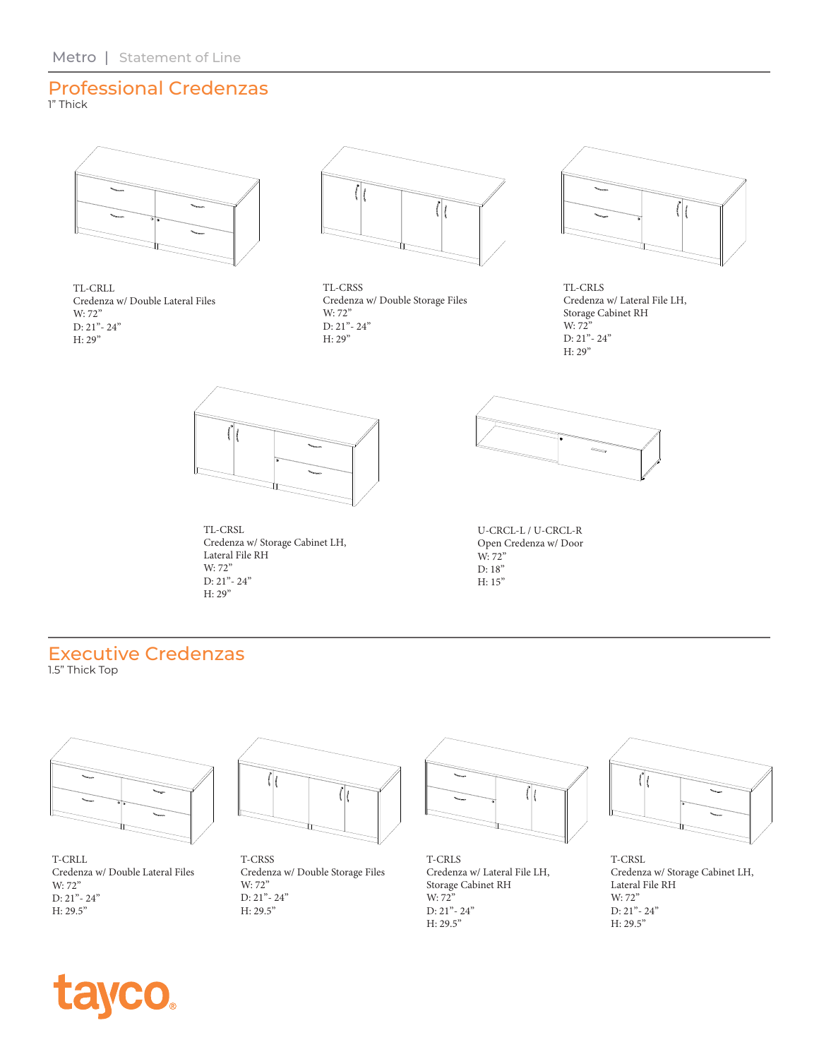## Professional Credenzas

1" Thick



TL-CRLL Credenza w/ Double Lateral Files W: 72" D: 21"- 24" H: 29"



TL-CRSS Credenza w/ Double Storage Files W: 72" D: 21"- 24" H: 29"



TL-CRLS Credenza w/ Lateral File LH, Storage Cabinet RH W: 72" D: 21"- 24" H: 29"



TL-CRSL Credenza w/ Storage Cabinet LH, Lateral File RH W: 72" D: 21"- 24" H: 29"



U-CRCL-L / U-CRCL-R Open Credenza w/ Door W: 72" D: 18" H: 15"

# Executive Credenzas

1.5" Thick Top



T-CRLL Credenza w/ Double Lateral Files W: 72" D: 21"- 24" H: 29.5"



T-CRSS Credenza w/ Double Storage Files W: 72" D: 21"- 24" H: 29.5"



T-CRLS Credenza w/ Lateral File LH, Storage Cabinet RH W: 72" D: 21"- 24" H: 29.5"



T-CRSL Credenza w/ Storage Cabinet LH, Lateral File RH W: 72" D: 21"- 24" H: 29.5"

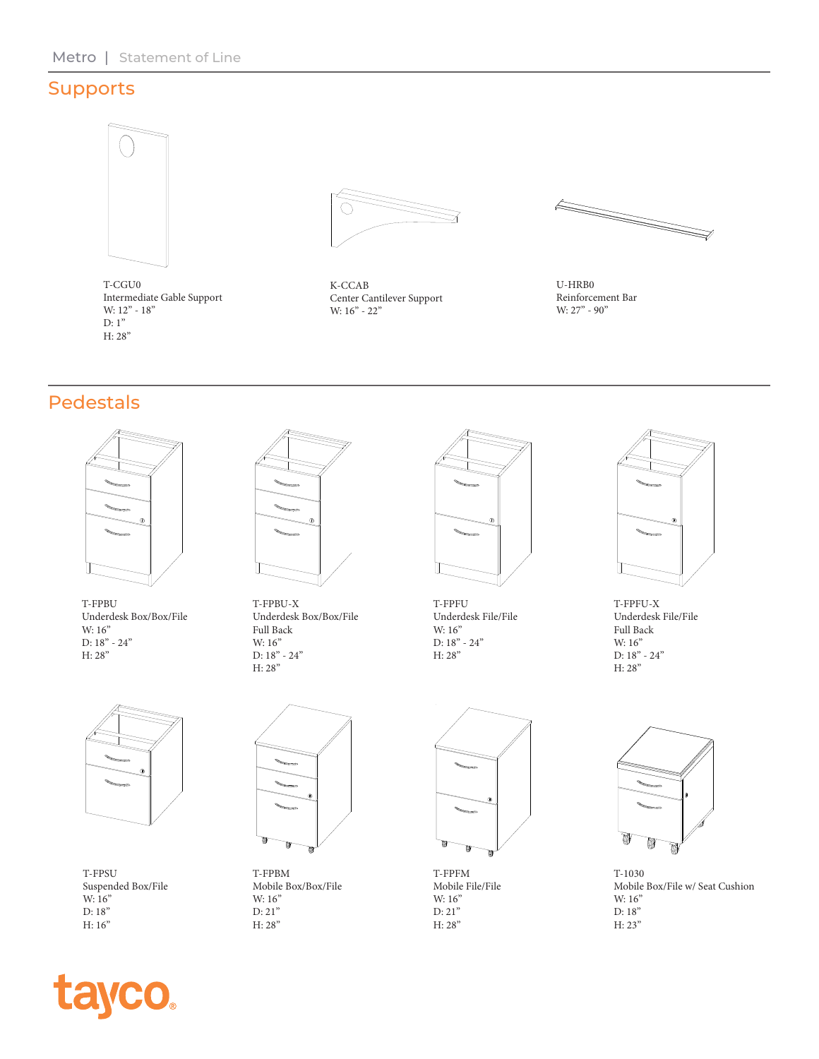### Supports



T-CGU0 Intermediate Gable Support W: 12" - 18" D: 1" H: 28"



K-CCAB Center Cantilever Support W: 16" - 22"



U-HRB0 Reinforcement Bar W: 27" - 90"

### Pedestals



T-FPBU Underdesk Box/Box/File W: 16" D: 18" - 24" H: 28"



T-FPBU-X Underdesk Box/Box/File Full Back W: 16" D: 18" - 24" H: 28"



T-FPFU Underdesk File/File W: 16" D: 18" - 24" H: 28"



T-FPFU-X Underdesk File/File Full Back W: 16" D: 18" - 24" H: 28"



T-FPSU Suspended Box/File W: 16" D: 18" H: 16"



T-FPBM Mobile Box/Box/File W: 16" D: 21" H: 28"



T-FPFM Mobile File/File W: 16" D: 21" H: 28"



T-1030 Mobile Box/File w/ Seat Cushion W: 16" D: 18" H: 23"

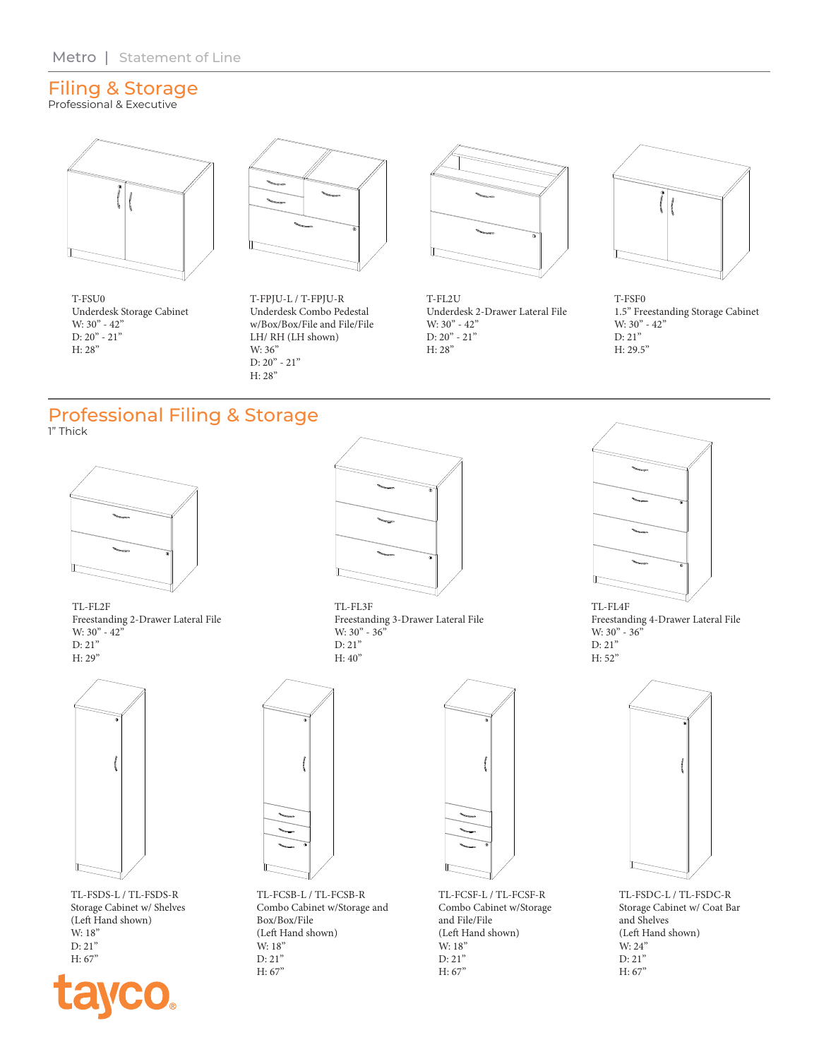#### Filing & Storage Professional & Executive



T-FSU0 Underdesk Storage Cabinet W: 30" - 42" D:  $20" - 21"$ H: 28"



T-FPJU-L / T-FPJU-R Underdesk Combo Pedestal w/Box/Box/File and File/File LH/ RH (LH shown) W: 36" D:  $20" - 21"$ H: 28"



T-FL2U Underdesk 2-Drawer Lateral File W:  $30^{\circ}$  -  $42^{\circ}$ D: 20" - 21" H: 28"



T-FSF0 1.5" Freestanding Storage Cabinet W: 30" - 42" D: 21" H: 29.5"

#### Professional Filing & Storage 1" Thick



TL-FL2F Freestanding 2-Drawer Lateral File W: 30" - 42" D: 21" H: 29"



TL-FSDS-L / TL-FSDS-R Storage Cabinet w/ Shelves (Left Hand shown) W: 18" D: 21" H: 67"





TL-FL3F Freestanding 3-Drawer Lateral File W: 30" - 36" D: 21" H: 40"



TL-FL4F Freestanding 4-Drawer Lateral File W: 30" - 36" D: 21" H: 52"



TL-FCSB-L / TL-FCSB-R Combo Cabinet w/Storage and Box/Box/File (Left Hand shown) W: 18" D: 21" H: 67"



TL-FCSF-L / TL-FCSF-R Combo Cabinet w/Storage and File/File (Left Hand shown) W: 18" D: 21" H: 67"



TL-FSDC-L / TL-FSDC-R Storage Cabinet w/ Coat Bar and Shelves (Left Hand shown) W: 24" D: 21" H: 67"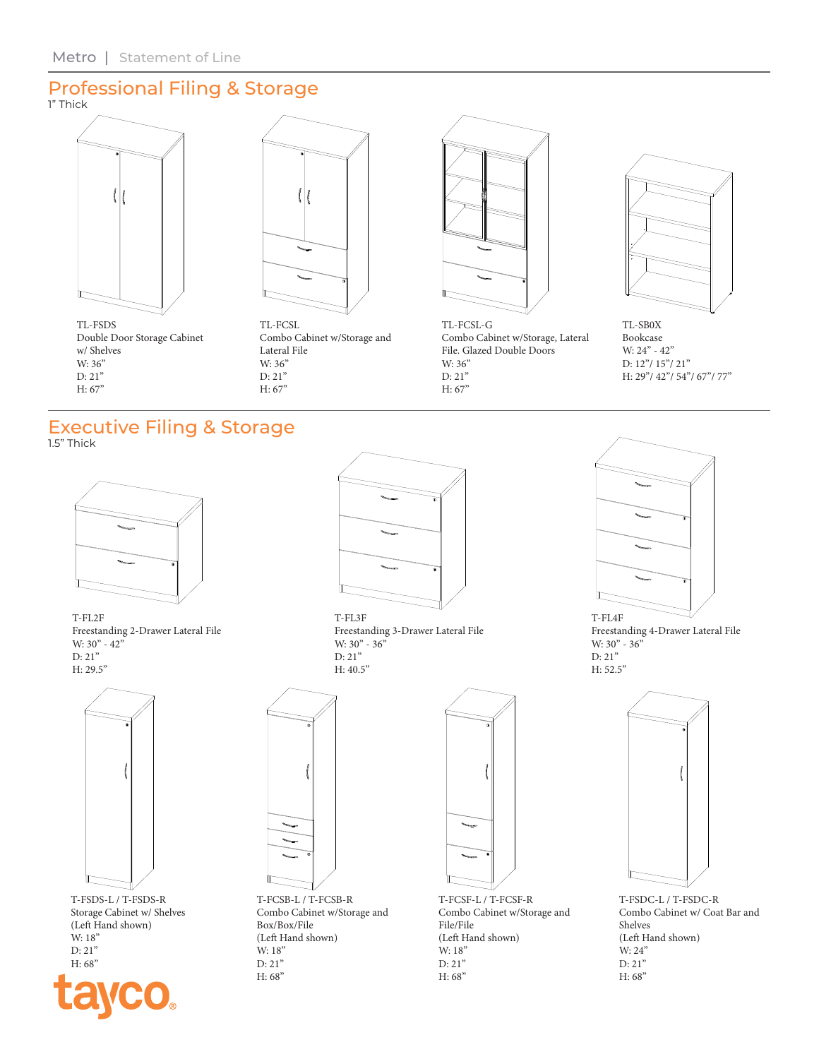#### Professional Filing & Storage 1" Thick





TL-FSDS Double Door Storage Cabinet w/ Shelves W: 36" D: 21" H: 67"

TL-FCSL Combo Cabinet w/Storage and Lateral File W: 36" D: 21" H: 67"



TL-FCSL-G Combo Cabinet w/Storage, Lateral File. Glazed Double Doors W: 36" D: 21" H: 67"



TL-SB0X Bookcase W: 24" - 42" D: 12"/ 15"/ 21" H: 29"/ 42"/ 54"/ 67"/ 77"

### Executive Filing & Storage

1.5" Thick



T-FL2F Freestanding 2-Drawer Lateral File W: 30" - 42" D: 21" H: 29.5"



T-FSDS-L / T-FSDS-R Storage Cabinet w/ Shelves (Left Hand shown) W: 18" D: 21" H: 68"



T-FL3F Freestanding 3-Drawer Lateral File W: 30" - 36" D: 21" H: 40.5"





Freestanding 4-Drawer Lateral File W: 30" - 36" D: 21" H: 52.5"



T-FSDC-L / T-FSDC-R Combo Cabinet w/ Coat Bar and Shelves (Left Hand shown) W: 24" D: 21" H: 68"



T-FCSB-L / T-FCSB-R Combo Cabinet w/Storage and Box/Box/File (Left Hand shown) W: 18" D: 21" H: 68"



T-FCSF-L / T-FCSF-R Combo Cabinet w/Storage and File/File (Left Hand shown) W: 18" D: 21" H: 68"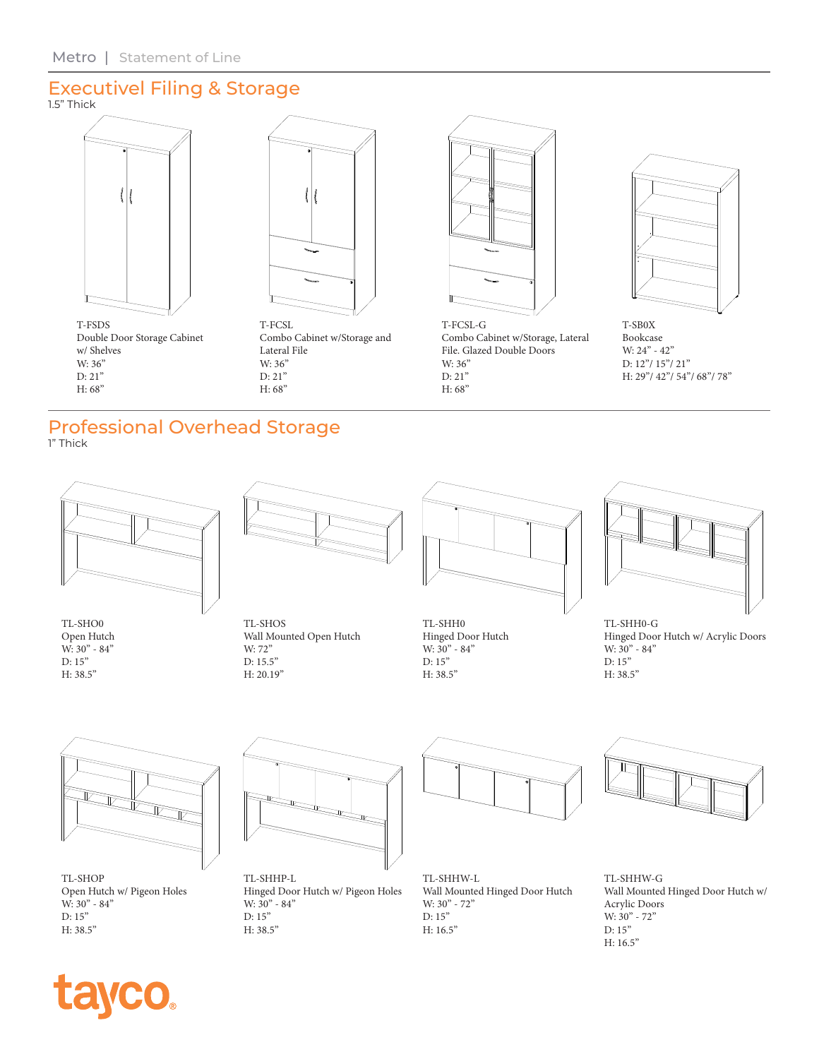#### Executivel Filing & Storage 1.5" Thick





Double Door Storage Cabinet w/ Shelves W: 36" D: 21" H: 68"

T-FCSL Combo Cabinet w/Storage and Lateral File W: 36" D: 21" H: 68"



T-FCSL-G Combo Cabinet w/Storage, Lateral File. Glazed Double Doors W: 36" D: 21" H: 68"



T-SB0X Bookcase W: 24" - 42" D: 12"/ 15"/ 21" H: 29"/ 42"/ 54"/ 68"/ 78"

#### Professional Overhead Storage 1" Thick

TL-SHO0 Open Hutch W: 30" - 84" D: 15" H: 38.5"



TL-SHOS Wall Mounted Open Hutch W: 72" D: 15.5" H: 20.19"



TL-SHH0 Hinged Door Hutch W:  $30" - 84"$ D: 15" H: 38.5"



TL-SHH0-G Hinged Door Hutch w/ Acrylic Doors W:  $30^{\circ}$  - 84" D: 15" H: 38.5"



TL-SHOP Open Hutch w/ Pigeon Holes W: 30" - 84" D: 15" H: 38.5"



TL-SHHP-L Hinged Door Hutch w/ Pigeon Holes W:  $30" - 84"$ D: 15" H: 38.5"



TL-SHHW-L Wall Mounted Hinged Door Hutch W: 30" - 72" D: 15" H: 16.5"



TL-SHHW-G Wall Mounted Hinged Door Hutch w/ Acrylic Doors W: 30" - 72" D: 15" H: 16.5"

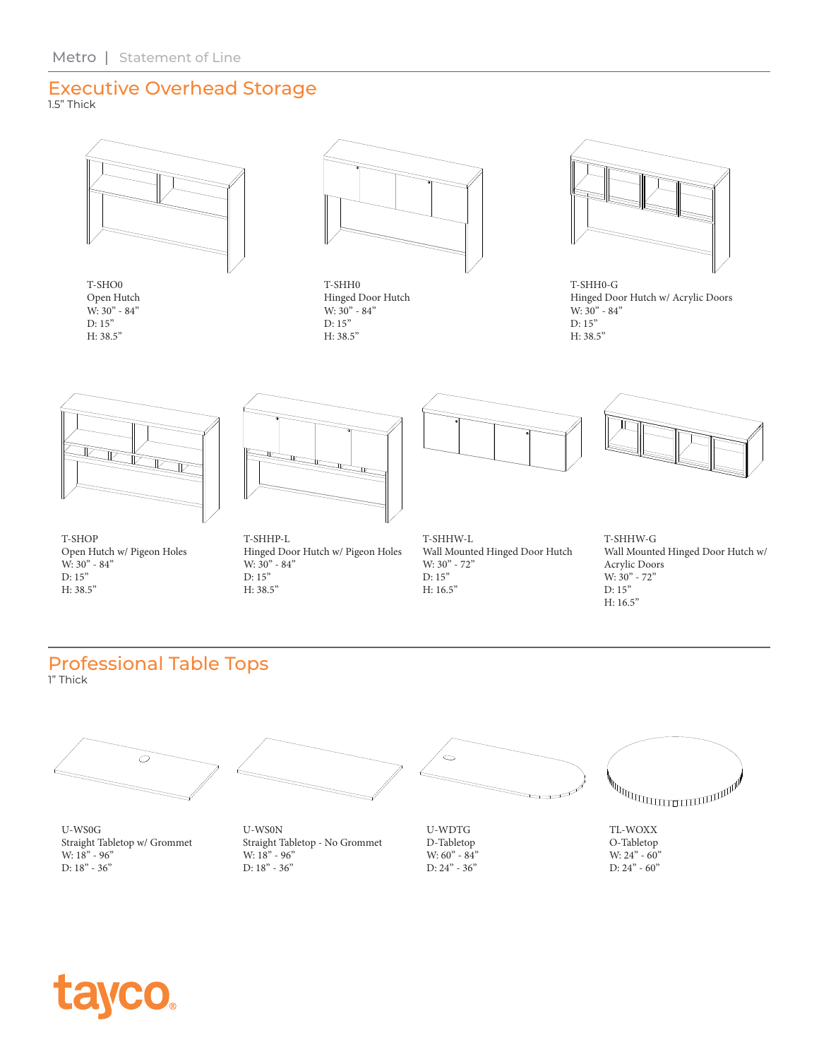### Executive Overhead Storage

1.5" Thick



T-SHO0 Open Hutch W: 30" - 84" D: 15" H: 38.5"



T-SHH0 Hinged Door Hutch W: 30" - 84" D: 15" H: 38.5"



T-SHH0-G Hinged Door Hutch w/ Acrylic Doors W: 30" - 84" D: 15" H: 38.5"



T-SHOP Open Hutch w/ Pigeon Holes W: 30" - 84" D: 15" H: 38.5"



T-SHHP-L Hinged Door Hutch w/ Pigeon Holes W: 30" - 84" D: 15" H: 38.5"



Wall Mounted Hinged Door Hutch T-SHHW-G

Wall Mounted Hinged Door Hutch w/ Acrylic Doors W: 30" - 72" D: 15" H: 16.5"

#### Professional Table Tops 1" Thick



U-WS0G Straight Tabletop w/ Grommet W:  $18" - 96"$ D: 18" - 36"



U-WS0N Straight Tabletop - No Grommet W:  $18" - 96"$ D: 18" - 36"



U-WDTG D-Tabletop W:  $60^{\degree}$  -  $84^{\degree}$ D: 24" - 36"

T-SHHW-L

W: 30" - 72" D: 15" H: 16.5"



TL-WOXX O-Tabletop W: 24" - 60" D: 24" - 60"

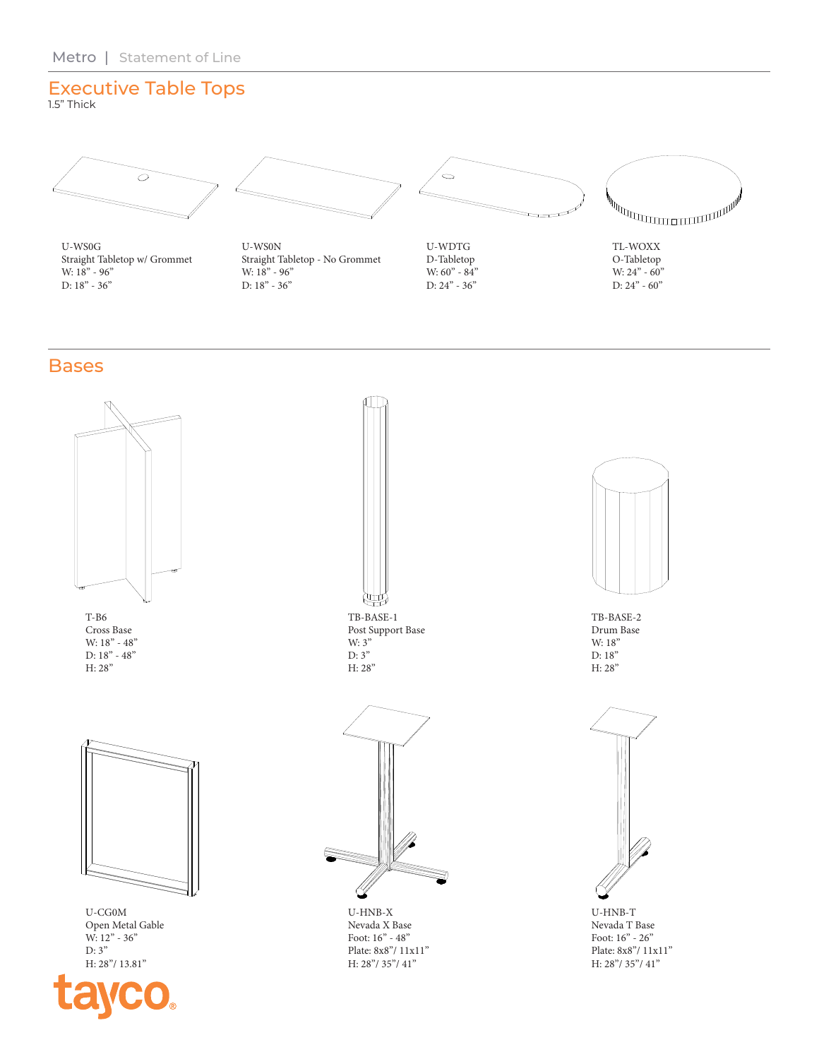## Executive Table Tops

1.5" Thick



U-WS0G Straight Tabletop w/ Grommet W:  $18" - 96"$ D: 18" - 36"



U-WS0N Straight Tabletop - No Grommet W:  $18" - 96"$ D: 18" - 36"



U-WDTG D-Tabletop W:  $60" - 84"$ D: 24" - 36"



TL-WOXX O-Tabletop W: 24" - 60" D:  $24" - 60"$ 

### **Bases**



H: 28"/ 13.81"



TB-BASE-1 Post Support Base W: 3"  $D: 3"$ H: 28"

U-HNB-X Nevada X Base Foot: 16" - 48" Plate: 8x8"/ 11x11" H: 28"/ 35"/ 41"



TB-BASE-2 Drum Base W: 18" D: 18" H: 28"



U-HNB-T Nevada T Base Foot: 16" - 26" Plate: 8x8"/ 11x11" H: 28"/ 35"/ 41"

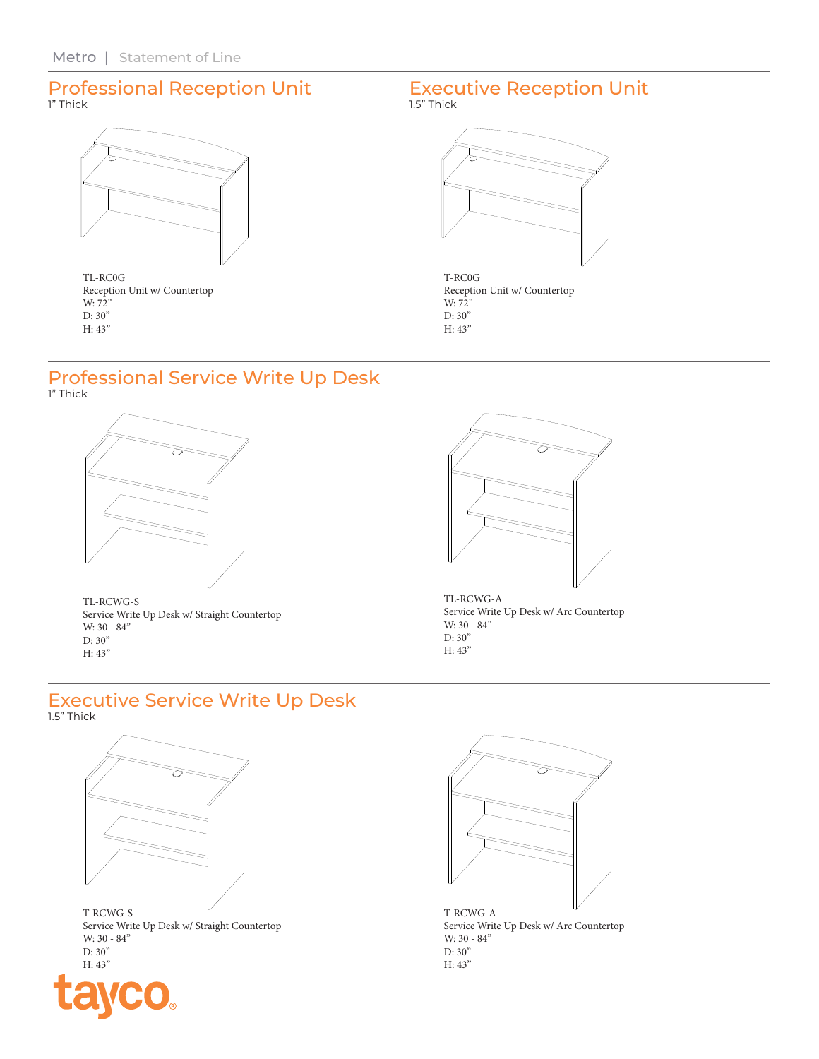### Professional Reception Unit 1" Thick

TL-RC0G Reception Unit w/ Countertop W: 72" D: 30" H: 43"

#### Executive Reception Unit 1.5" Thick



T-RC0G Reception Unit w/ Countertop W: 72" D: 30" H: 43"

#### Professional Service Write Up Desk 1" Thick



TL-RCWG-S Service Write Up Desk w/ Straight Countertop W: 30 - 84" D: 30" H: 43"



TL-RCWG-A Service Write Up Desk w/ Arc Countertop W: 30 - 84" D: 30" H: 43"

#### Executive Service Write Up Desk 1.5" Thick



Service Write Up Desk w/ Straight Countertop W: 30 - 84" D: 30" H: 43"



T-RCWG-A Service Write Up Desk w/ Arc Countertop W: 30 - 84" D: 30" H: 43"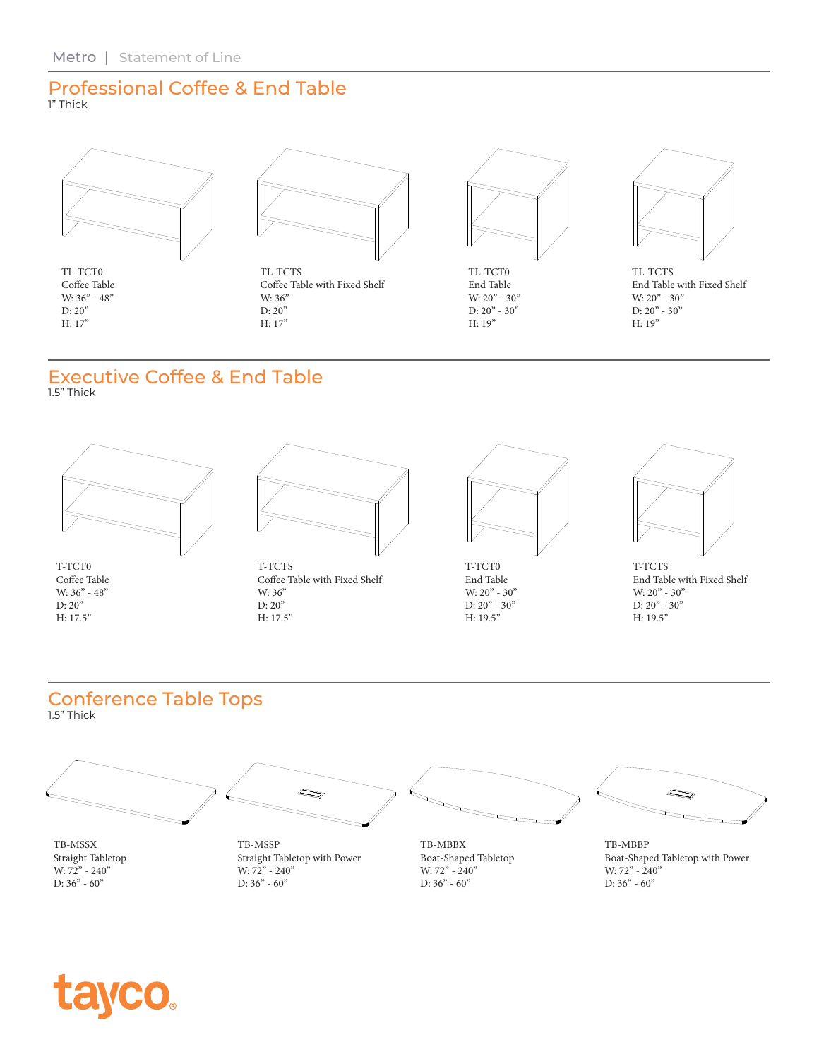#### Professional Coffee & End Table 1" Thick



TL-TCT0 Coffee Table W: 36" - 48" D: 20" H: 17"



TL-TCTS Coffee Table with Fixed Shelf W: 36" D: 20" H: 17"



TL-TCT0 End Table W:  $20^{\prime\prime}$  -  $30^{\prime\prime}$ D: 20" - 30" H: 19"



TL-TCTS End Table with Fixed Shelf W: 20" - 30" D: 20" - 30" H: 19"

# Executive Coffee & End Table

1.5" Thick



T-TCT0 Coffee Table W: 36" - 48" D: 20" H: 17.5"



T-TCTS Coffee Table with Fixed Shelf W: 36" D: 20" H: 17.5"



T-TCT0 End Table W:  $20" - 30"$ D:  $20" - 30"$ H: 19.5"



T-TCTS End Table with Fixed Shelf W: 20" - 30" D:  $20" - 30"$ H: 19.5"

## Conference Table Tops

1.5" Thick



Straight Tabletop W: 72" - 240" D:  $36" - 60"$ 

Straight Tabletop with Power W:  $72" - 240"$ D: 36" - 60"

Boat-Shaped Tabletop W: 72" - 240" D:  $36" - 60"$ 

Boat-Shaped Tabletop with Power W: 72" - 240" D: 36" - 60"

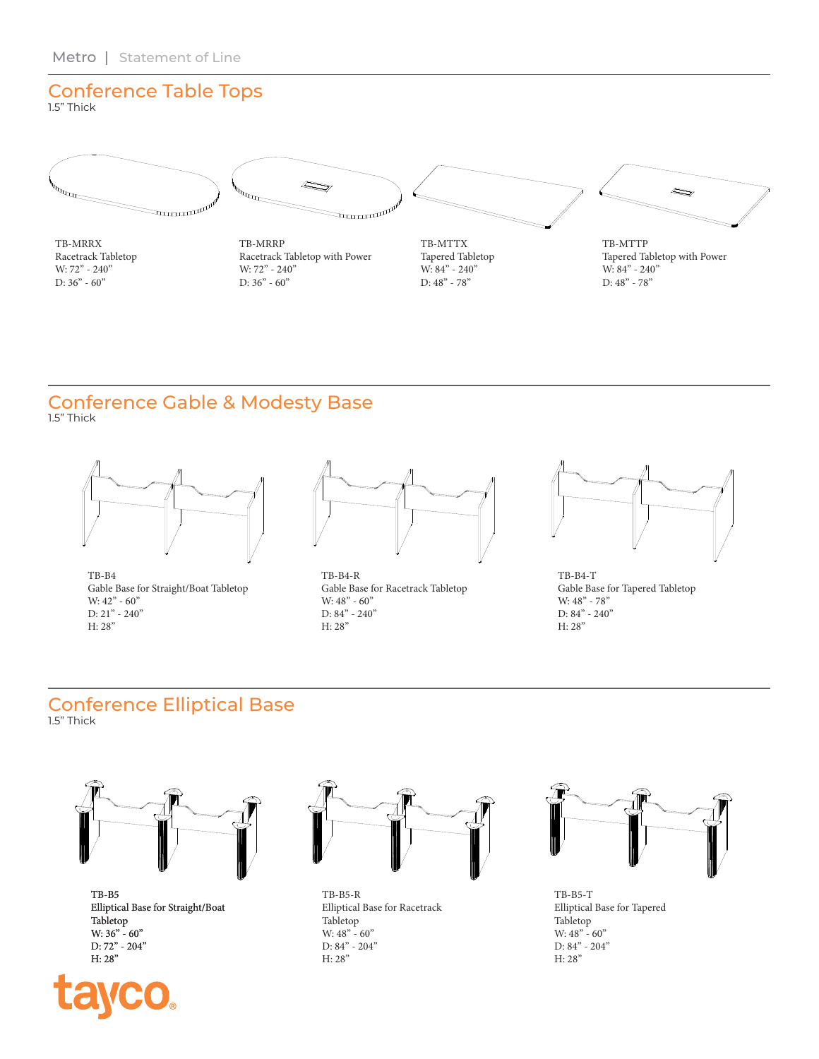# Conference Table Tops

1.5" Thick



TB-MRRX Racetrack Tabletop W: 72" - 240" D: 36" - 60"



TB-MRRP Racetrack Tabletop with Power W: 72" - 240" D: 36" - 60"



TB-MTTX Tapered Tabletop W: 84" - 240" D: 48" - 78"



TB-MTTP Tapered Tabletop with Power W: 84" - 240" D: 48" - 78"

#### Conference Gable & Modesty Base 1.5" Thick



TB-B4 Gable Base for Straight/Boat Tabletop W: 42" - 60" D: 21" - 240" H: 28"



TB-B4-R Gable Base for Racetrack Tabletop W:  $48" - 60"$ D: 84" - 240" H: 28"



TB-B4-T Gable Base for Tapered Tabletop W:  $48" - 78"$ D: 84" - 240" H: 28"

# Conference Elliptical Base

1.5" Thick



TB-B5 Elliptical Base for Straight/Boat Tabletop W: 36" - 60" D: 72" - 204" H: 28"





TB-B5-R Elliptical Base for Racetrack Tabletop W: 48" - 60" D: 84" - 204" H: 28"



TB-B5-T Elliptical Base for Tapered Tabletop W:  $48" - 60"$ D: 84" - 204" H: 28"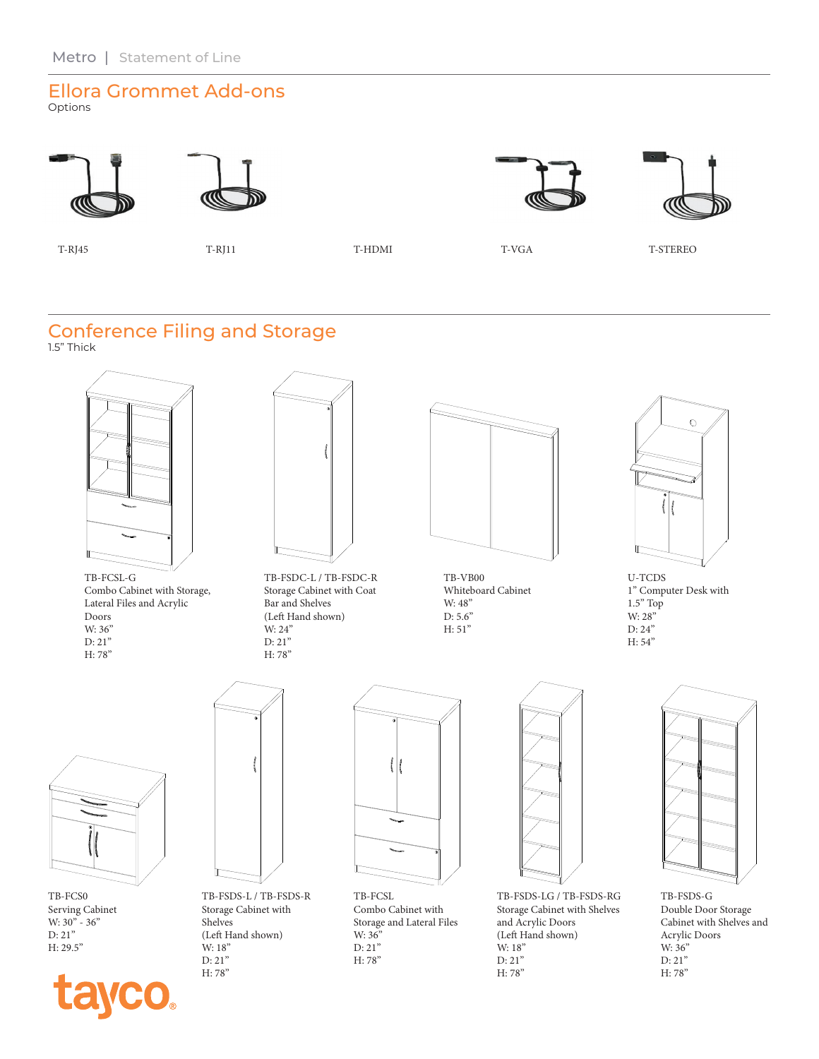#### Ellora Grommet Add-ons Options







T-RJ45 T-RJ11 T-HDMI T-VGA T-STEREO

#### Conference Filing and Storage 1.5" Thick

TB-FCSL-G Combo Cabinet with Storage, Lateral Files and Acrylic Doors W: 36" D: 21" H: 78"



TB-FSDC-L / TB-FSDC-R Storage Cabinet with Coat Bar and Shelves (Left Hand shown) W: 24" D: 21" H: 78"



TB-VB00 Whiteboard Cabinet W: 48" D: 5.6" H: 51"



U-TCDS 1" Computer Desk with 1.5" Top W: 28" D: 24" H: 54"



TB-FCS0 Serving Cabinet W: 30" - 36" D: 21" H: 29.5"





TB-FSDS-L / TB-FSDS-R Storage Cabinet with Shelves (Left Hand shown) W: 18" D: 21" H: 78"



TB-FCSL Combo Cabinet with Storage and Lateral Files W: 36" D: 21" H: 78"



TB-FSDS-LG / TB-FSDS-RG Storage Cabinet with Shelves and Acrylic Doors (Left Hand shown) W: 18" D: 21" H: 78"



TB-FSDS-G Double Door Storage Cabinet with Shelves and Acrylic Doors W: 36" D: 21" H: 78"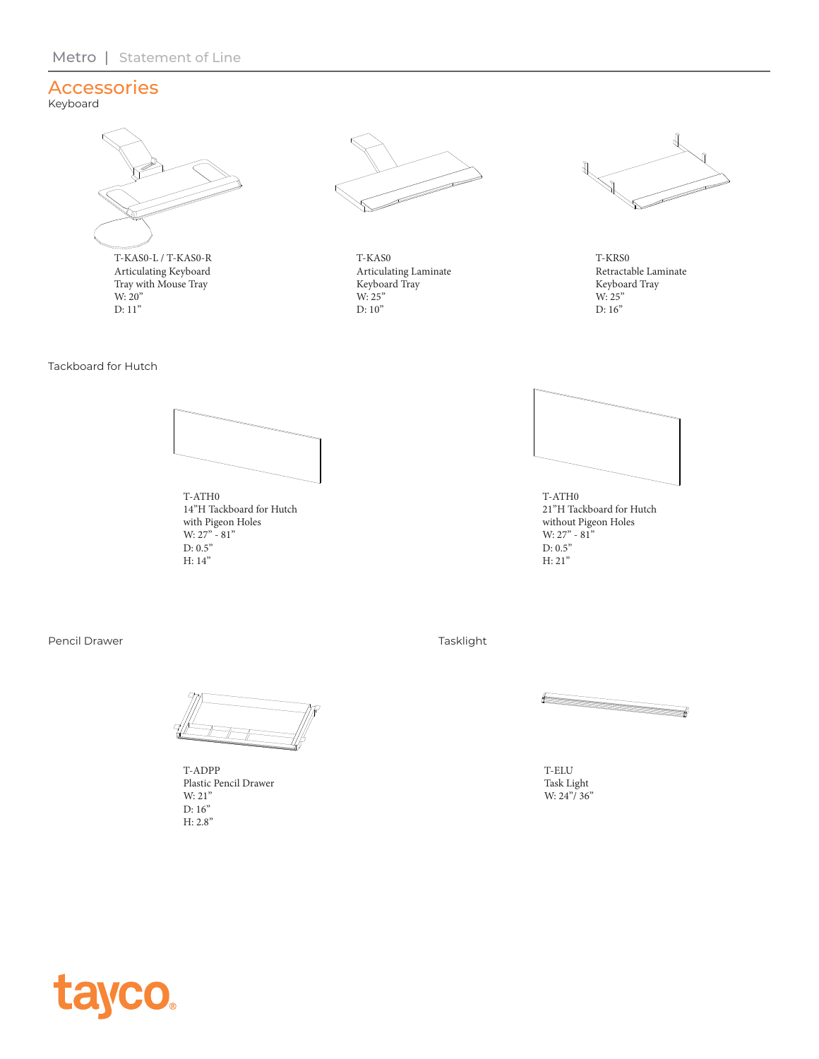### Accessories

Tackboard for Hutch

Keyboard



Articulating Keyboard Tray with Mouse Tray W: 20" D: 11"



T-KAS0 Articulating Laminate Keyboard Tray W: 25" D: 10"



T-KRS0 Retractable Laminate Keyboard Tray W: 25" D: 16"

T-ATH0 14"H Tackboard for Hutch with Pigeon Holes W:  $27" - 81"$ D:  $0.5"$ H: 14"



T-ATH0 21"H Tackboard for Hutch without Pigeon Holes W: 27" - 81" D: 0.5" H: 21"

Pencil Drawer



T-ADPP Plastic Pencil Drawer W: 21" D: 16" H: 2.8"

Tasklight

T-ELU Task Light W: 24"/ 36"